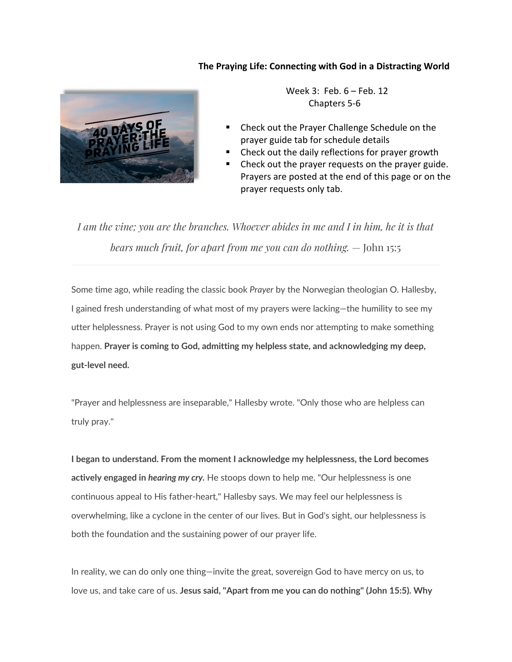#### **The Praying Life: Connecting with God in a Distracting World**



 Week 3: Feb. 6 – Feb. 12 Chapters 5-6

- § Check out the Prayer Challenge Schedule on the prayer guide tab for schedule details
- § Check out the daily reflections for prayer growth
- Check out the prayer requests on the prayer guide. Prayers are posted at the end of this page or on the prayer requests only tab.

*I am the vine; you are the branches. Whoever abides in me and I in him, he it is that bears much fruit, for apart from me you can do nothing.* — John 15:5

Some time ago, while reading the classic book *Prayer* by the Norwegian theologian O. Hallesby, I gained fresh understanding of what most of my prayers were lacking—the humility to see my utter helplessness. Prayer is not using God to my own ends nor attempting to make something happen. **Prayer is coming to God, admitting my helpless state, and acknowledging my deep, gut-level need.**

"Prayer and helplessness are inseparable," Hallesby wrote. "Only those who are helpless can truly pray."

**I began to understand. From the moment I acknowledge my helplessness, the Lord becomes actively engaged in** *hearing my cry.* He stoops down to help me. "Our helplessness is one continuous appeal to His father-heart," Hallesby says. We may feel our helplessness is overwhelming, like a cyclone in the center of our lives. But in God's sight, our helplessness is both the foundation and the sustaining power of our prayer life.

In reality, we can do only one thing—invite the great, sovereign God to have mercy on us, to love us, and take care of us. **Jesus said, "Apart from me you can do nothing" (John 15:5). Why**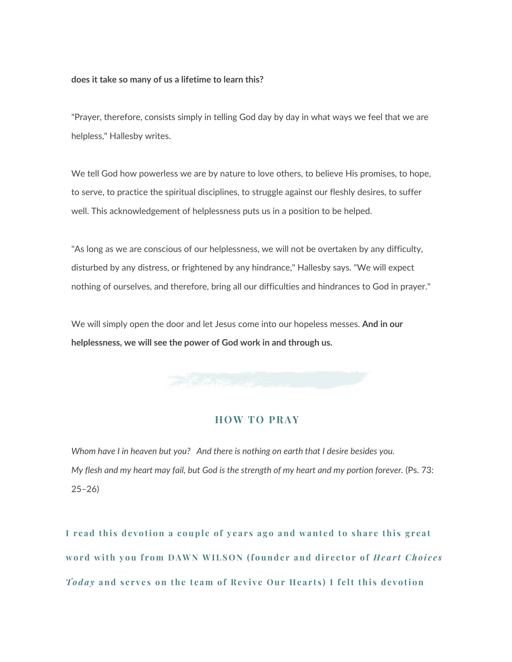#### **does it take so many of us a lifetime to learn this?**

"Prayer, therefore, consists simply in telling God day by day in what ways we feel that we are helpless," Hallesby writes.

We tell God how powerless we are by nature to love others, to believe His promises, to hope, to serve, to practice the spiritual disciplines, to struggle against our fleshly desires, to suffer well. This acknowledgement of helplessness puts us in a position to be helped.

"As long as we are conscious of our helplessness, we will not be overtaken by any difficulty, disturbed by any distress, or frightened by any hindrance," Hallesby says. "We will expect nothing of ourselves, and therefore, bring all our difficulties and hindrances to God in prayer."

We will simply open the door and let Jesus come into our hopeless messes. **And in our helplessness, we will see the power of God work in and through us.**

#### **HOW TO PRAY**

*Whom have I in heaven but you? And there is nothing on earth that I desire besides you. My flesh and my heart may fail, but God is the strength of my heart and my portion forever.* (Ps. 73: 25–26)

**I read this devotion a couple of years ago and wanted to share this great word with you from DAWN WILSON (founder and director of** *Heart Choices Today* **and serves on the team of Revive Our Hearts) I felt this devotion**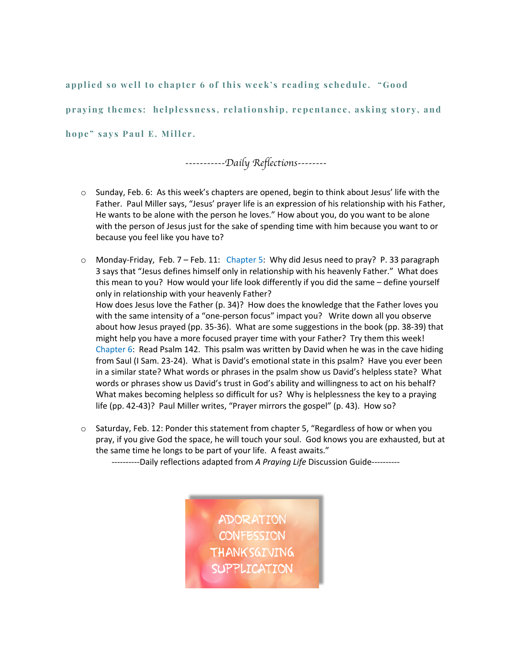**applied so well to chapter 6 of this week's reading schedule. "Good praying themes: helplessness, relationship, repentance, asking story, and hope" says Paul E. Miller .** 

*-----------Daily Reflections--------*

- $\circ$  Sunday, Feb. 6: As this week's chapters are opened, begin to think about Jesus' life with the Father. Paul Miller says, "Jesus' prayer life is an expression of his relationship with his Father, He wants to be alone with the person he loves." How about you, do you want to be alone with the person of Jesus just for the sake of spending time with him because you want to or because you feel like you have to?
- $\circ$  Monday-Friday, Feb. 7 Feb. 11: Chapter 5: Why did Jesus need to pray? P. 33 paragraph 3 says that "Jesus defines himself only in relationship with his heavenly Father." What does this mean to you? How would your life look differently if you did the same – define yourself only in relationship with your heavenly Father? How does Jesus love the Father (p. 34)? How does the knowledge that the Father loves you with the same intensity of a "one-person focus" impact you? Write down all you observe about how Jesus prayed (pp. 35-36). What are some suggestions in the book (pp. 38-39) that might help you have a more focused prayer time with your Father? Try them this week! Chapter 6: Read Psalm 142. This psalm was written by David when he was in the cave hiding from Saul (I Sam. 23-24). What is David's emotional state in this psalm? Have you ever been in a similar state? What words or phrases in the psalm show us David's helpless state? What words or phrases show us David's trust in God's ability and willingness to act on his behalf? What makes becoming helpless so difficult for us? Why is helplessness the key to a praying life (pp. 42-43)? Paul Miller writes, "Prayer mirrors the gospel" (p. 43). How so?
- o Saturday, Feb. 12: Ponder this statement from chapter 5, "Regardless of how or when you pray, if you give God the space, he will touch your soul. God knows you are exhausted, but at the same time he longs to be part of your life. A feast awaits."
	- ----------Daily reflections adapted from *A Praying Life* Discussion Guide----------

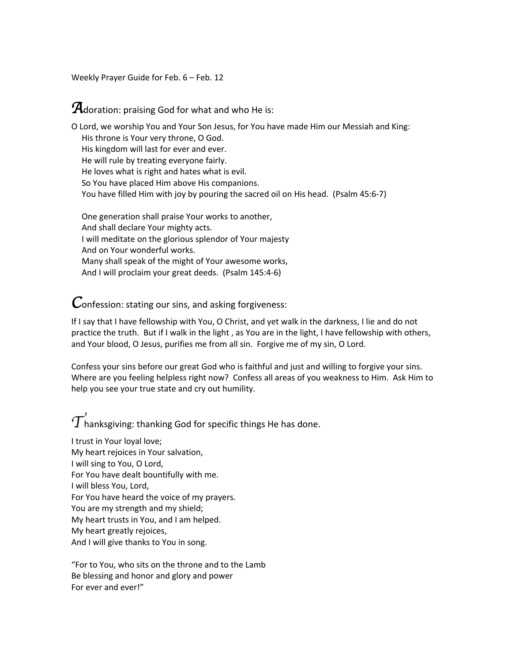Weekly Prayer Guide for Feb. 6 – Feb. 12

## *A*doration: praising God for what and who He is:

O Lord, we worship You and Your Son Jesus, for You have made Him our Messiah and King: His throne is Your very throne, O God. His kingdom will last for ever and ever. He will rule by treating everyone fairly. He loves what is right and hates what is evil. So You have placed Him above His companions. You have filled Him with joy by pouring the sacred oil on His head. (Psalm 45:6-7)

 One generation shall praise Your works to another, And shall declare Your mighty acts. I will meditate on the glorious splendor of Your majesty And on Your wonderful works. Many shall speak of the might of Your awesome works, And I will proclaim your great deeds. (Psalm 145:4-6)

*C*onfession: stating our sins, and asking forgiveness:

If I say that I have fellowship with You, O Christ, and yet walk in the darkness, I lie and do not practice the truth. But if I walk in the light , as You are in the light, I have fellowship with others, and Your blood, O Jesus, purifies me from all sin. Forgive me of my sin, O Lord.

Confess your sins before our great God who is faithful and just and willing to forgive your sins. Where are you feeling helpless right now? Confess all areas of you weakness to Him. Ask Him to help you see your true state and cry out humility.

 $\widetilde{T}$ hanksgiving: thanking God for specific things He has done.

I trust in Your loyal love; My heart rejoices in Your salvation, I will sing to You, O Lord, For You have dealt bountifully with me. I will bless You, Lord, For You have heard the voice of my prayers. You are my strength and my shield; My heart trusts in You, and I am helped. My heart greatly rejoices, And I will give thanks to You in song.

"For to You, who sits on the throne and to the Lamb Be blessing and honor and glory and power For ever and ever!"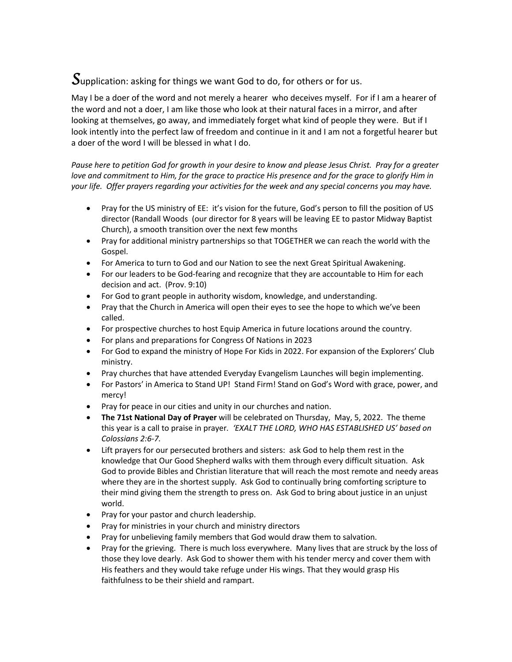# *S*upplication: asking for things we want God to do, for others or for us.

May I be a doer of the word and not merely a hearer who deceives myself. For if I am a hearer of the word and not a doer, I am like those who look at their natural faces in a mirror, and after looking at themselves, go away, and immediately forget what kind of people they were. But if I look intently into the perfect law of freedom and continue in it and I am not a forgetful hearer but a doer of the word I will be blessed in what I do.

*Pause here to petition God for growth in your desire to know and please Jesus Christ. Pray for a greater love and commitment to Him, for the grace to practice His presence and for the grace to glorify Him in your life. Offer prayers regarding your activities for the week and any special concerns you may have.* 

- Pray for the US ministry of EE: it's vision for the future, God's person to fill the position of US director (Randall Woods (our director for 8 years will be leaving EE to pastor Midway Baptist Church), a smooth transition over the next few months
- Pray for additional ministry partnerships so that TOGETHER we can reach the world with the Gospel.
- For America to turn to God and our Nation to see the next Great Spiritual Awakening.
- For our leaders to be God-fearing and recognize that they are accountable to Him for each decision and act. (Prov. 9:10)
- For God to grant people in authority wisdom, knowledge, and understanding.
- Pray that the Church in America will open their eyes to see the hope to which we've been called.
- For prospective churches to host Equip America in future locations around the country.
- For plans and preparations for Congress Of Nations in 2023
- For God to expand the ministry of Hope For Kids in 2022. For expansion of the Explorers' Club ministry.
- Pray churches that have attended Everyday Evangelism Launches will begin implementing.
- For Pastors' in America to Stand UP! Stand Firm! Stand on God's Word with grace, power, and mercy!
- Pray for peace in our cities and unity in our churches and nation.
- **The 71st National Day of Prayer** will be celebrated on Thursday, May, 5, 2022. The theme this year is a call to praise in prayer*. 'EXALT THE LORD, WHO HAS ESTABLISHED US' based on Colossians 2:6-7.*
- Lift prayers for our persecuted brothers and sisters: ask God to help them rest in the knowledge that Our Good Shepherd walks with them through every difficult situation. Ask God to provide Bibles and Christian literature that will reach the most remote and needy areas where they are in the shortest supply. Ask God to continually bring comforting scripture to their mind giving them the strength to press on. Ask God to bring about justice in an unjust world.
- Pray for your pastor and church leadership.
- Pray for ministries in your church and ministry directors
- Pray for unbelieving family members that God would draw them to salvation.
- Pray for the grieving. There is much loss everywhere. Many lives that are struck by the loss of those they love dearly. Ask God to shower them with his tender mercy and cover them with His feathers and they would take refuge under His wings. That they would grasp His faithfulness to be their shield and rampart.